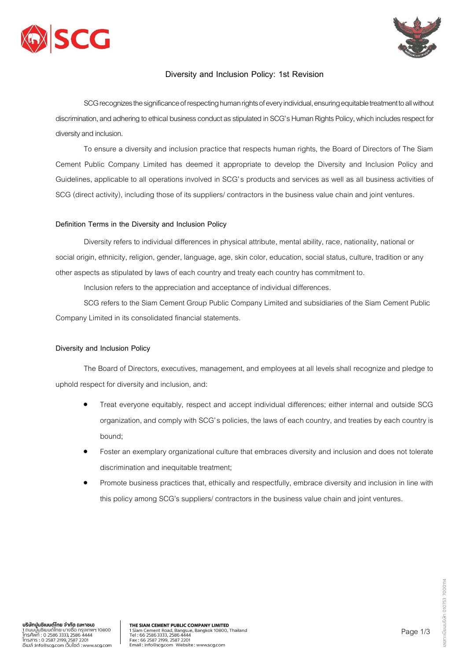



## **Diversity and Inclusion Policy: 1st Revision**

SCG recognizes the significance of respecting human rights of every individual, ensuring equitable treatment to all without discrimination, and adhering to ethical business conduct as stipulated in SCG's Human Rights Policy, which includes respect for diversity and inclusion.

To ensure a diversity and inclusion practice that respects human rights, the Board of Directors of The Siam Cement Public Company Limited has deemed it appropriate to develop the Diversity and Inclusion Policy and Guidelines, applicable to all operations involved in SCG's products and services as well as all business activities of SCG (direct activity), including those of its suppliers/contractors in the business value chain and joint ventures.

## **Definition Terms in the Diversity and Inclusion Policy**

Diversity refers to individual differences in physical attribute, mental ability, race, nationality, national or social origin, ethnicity, religion, gender, language, age, skin color, education, social status, culture, tradition or any other aspects as stipulated by laws of each country and treaty each country has commitment to.

Inclusion refers to the appreciation and acceptance of individual differences.

SCG refers to the Siam Cement Group Public Company Limited and subsidiaries of the Siam Cement Public Company Limited in its consolidated financial statements.

## **Diversity and Inclusion Policy**

The Board of Directors, executives, management, and employees at all levels shall recognize and pledge to uphold respect for diversity and inclusion, and:

- Treat everyone equitably, respect and accept individual differences; either internal and outside SCG organization, and comply with SCG's policies, the laws of each country, and treaties by each country is bound;
- Foster an exemplary organizational culture that embraces diversity and inclusion and does not tolerate discrimination and inequitable treatment;
- Promote business practices that, ethically and respectfully, embrace diversity and inclusion in line with this policy among SCG's suppliers/contractors in the business value chain and joint ventures.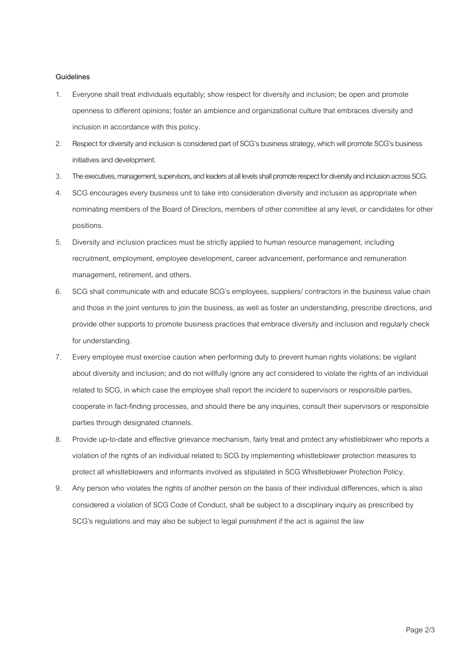## **Guidelines**

- 1. Everyone shall treat individuals equitably; show respect for diversity and inclusion; be open and promote openness to different opinions; foster an ambience and organizational culture that embraces diversity and inclusion in accordance with this policy.
- 2. Respect for diversity and inclusion is considered part of SCG's business strategy, which will promote SCG's business initiatives and development.
- 3. The executives, management, supervisors, and leaders at all levels shall promote respect for diversity and inclusion across SCG.
- 4. SCG encourages every business unit to take into consideration diversity and inclusion as appropriate when nominating members of the Board of Directors, members of other committee at any level, or candidates for other positions.
- 5. Diversity and inclusion practices must be strictly applied to human resource management, including recruitment, employment, employee development, career advancement, performance and remuneration management, retirement, and others.
- 6. SCG shall communicate with and educate SCG's employees, suppliers/contractors in the business value chain and those in the joint ventures to join the business, as well as foster an understanding, prescribe directions, and provide other supports to promote business practices that embrace diversity and inclusion and regularly check for understanding.
- 7. Every employee must exercise caution when performing duty to prevent human rights violations; be vigilant about diversity and inclusion; and do not willfully ignore any act considered to violate the rights of an individual related to SCG, in which case the employee shall report the incident to supervisors or responsible parties, cooperate in fact-finding processes, and should there be any inquiries, consult their supervisors or responsible parties through designated channels.
- 8. Provide up-to-date and effective grievance mechanism, fairly treat and protect any whistleblower who reports a violation of the rights of an individual related to SCG by implementing whistleblower protection measures to protect all whistleblowers and informants involved as stipulated in SCG Whistleblower Protection Policy.
- 9. Any person who violates the rights of another person on the basis of their individual differences, which is also considered a violation of SCG Code of Conduct, shall be subject to a disciplinary inquiry as prescribed by SCG's regulations and may also be subject to legal punishment if the act is against the law